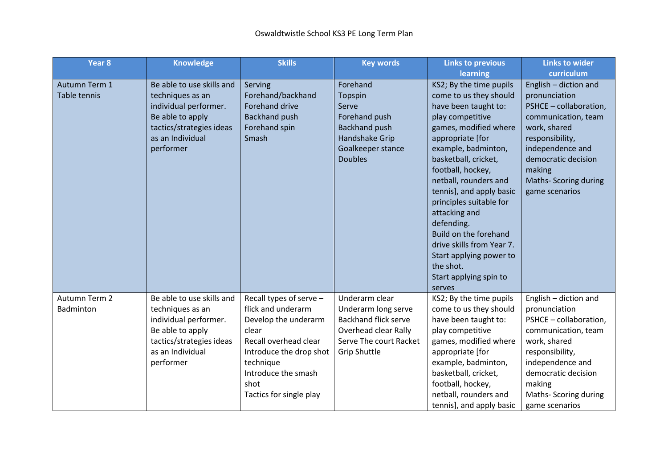| Year <sub>8</sub> | <b>Knowledge</b>          | <b>Skills</b>           | <b>Key words</b>            | <b>Links to previous</b>  | <b>Links to wider</b>  |
|-------------------|---------------------------|-------------------------|-----------------------------|---------------------------|------------------------|
|                   |                           |                         |                             | learning                  | curriculum             |
| Autumn Term 1     | Be able to use skills and | Serving                 | Forehand                    | KS2; By the time pupils   | English - diction and  |
| Table tennis      | techniques as an          | Forehand/backhand       | Topspin                     | come to us they should    | pronunciation          |
|                   | individual performer.     | <b>Forehand drive</b>   | Serve                       | have been taught to:      | PSHCE - collaboration, |
|                   | Be able to apply          | <b>Backhand push</b>    | Forehand push               | play competitive          | communication, team    |
|                   | tactics/strategies ideas  | Forehand spin           | <b>Backhand push</b>        | games, modified where     | work, shared           |
|                   | as an Individual          | Smash                   | <b>Handshake Grip</b>       | appropriate [for          | responsibility,        |
|                   | performer                 |                         | Goalkeeper stance           | example, badminton,       | independence and       |
|                   |                           |                         | <b>Doubles</b>              | basketball, cricket,      | democratic decision    |
|                   |                           |                         |                             | football, hockey,         | making                 |
|                   |                           |                         |                             | netball, rounders and     | Maths- Scoring during  |
|                   |                           |                         |                             | tennis], and apply basic  | game scenarios         |
|                   |                           |                         |                             | principles suitable for   |                        |
|                   |                           |                         |                             | attacking and             |                        |
|                   |                           |                         |                             | defending.                |                        |
|                   |                           |                         |                             | Build on the forehand     |                        |
|                   |                           |                         |                             | drive skills from Year 7. |                        |
|                   |                           |                         |                             | Start applying power to   |                        |
|                   |                           |                         |                             | the shot.                 |                        |
|                   |                           |                         |                             | Start applying spin to    |                        |
|                   |                           |                         |                             | serves                    |                        |
| Autumn Term 2     | Be able to use skills and | Recall types of serve - | Underarm clear              | KS2; By the time pupils   | English - diction and  |
| Badminton         | techniques as an          | flick and underarm      | Underarm long serve         | come to us they should    | pronunciation          |
|                   | individual performer.     | Develop the underarm    | <b>Backhand flick serve</b> | have been taught to:      | PSHCE - collaboration, |
|                   | Be able to apply          | clear                   | Overhead clear Rally        | play competitive          | communication, team    |
|                   | tactics/strategies ideas  | Recall overhead clear   | Serve The court Racket      | games, modified where     | work, shared           |
|                   | as an Individual          | Introduce the drop shot | <b>Grip Shuttle</b>         | appropriate [for          | responsibility,        |
|                   | performer                 | technique               |                             | example, badminton,       | independence and       |
|                   |                           | Introduce the smash     |                             | basketball, cricket,      | democratic decision    |
|                   |                           | shot                    |                             | football, hockey,         | making                 |
|                   |                           | Tactics for single play |                             | netball, rounders and     | Maths- Scoring during  |
|                   |                           |                         |                             | tennis], and apply basic  | game scenarios         |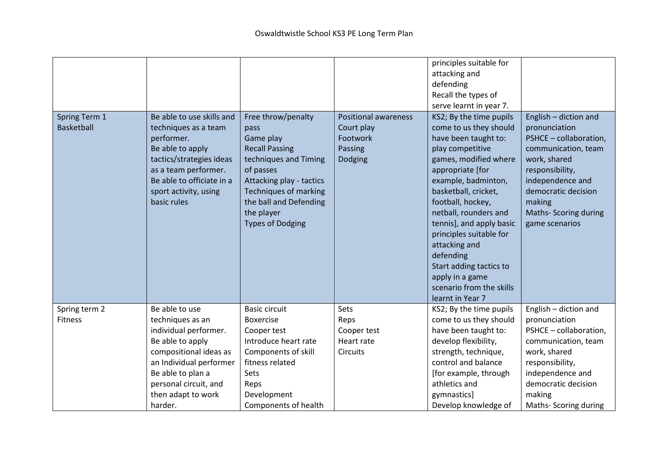| Spring Term 1<br><b>Basketball</b> | Be able to use skills and<br>techniques as a team<br>performer.<br>Be able to apply<br>tactics/strategies ideas<br>as a team performer.<br>Be able to officiate in a<br>sport activity, using<br>basic rules | Free throw/penalty<br>pass<br>Game play<br><b>Recall Passing</b><br>techniques and Timing<br>of passes<br>Attacking play - tactics<br><b>Techniques of marking</b><br>the ball and Defending<br>the player<br><b>Types of Dodging</b> | <b>Positional awareness</b><br>Court play<br>Footwork<br>Passing<br>Dodging | principles suitable for<br>attacking and<br>defending<br>Recall the types of<br>serve learnt in year 7.<br>KS2; By the time pupils<br>come to us they should<br>have been taught to:<br>play competitive<br>games, modified where<br>appropriate [for<br>example, badminton,<br>basketball, cricket,<br>football, hockey,<br>netball, rounders and<br>tennis], and apply basic<br>principles suitable for<br>attacking and<br>defending<br>Start adding tactics to<br>apply in a game<br>scenario from the skills | English - diction and<br>pronunciation<br>PSHCE - collaboration,<br>communication, team<br>work, shared<br>responsibility,<br>independence and<br>democratic decision<br>making<br><b>Maths- Scoring during</b><br>game scenarios |
|------------------------------------|--------------------------------------------------------------------------------------------------------------------------------------------------------------------------------------------------------------|---------------------------------------------------------------------------------------------------------------------------------------------------------------------------------------------------------------------------------------|-----------------------------------------------------------------------------|-------------------------------------------------------------------------------------------------------------------------------------------------------------------------------------------------------------------------------------------------------------------------------------------------------------------------------------------------------------------------------------------------------------------------------------------------------------------------------------------------------------------|-----------------------------------------------------------------------------------------------------------------------------------------------------------------------------------------------------------------------------------|
| Spring term 2                      | Be able to use                                                                                                                                                                                               | <b>Basic circuit</b>                                                                                                                                                                                                                  | Sets                                                                        | learnt in Year 7<br>KS2; By the time pupils                                                                                                                                                                                                                                                                                                                                                                                                                                                                       | English - diction and                                                                                                                                                                                                             |
| <b>Fitness</b>                     | techniques as an                                                                                                                                                                                             | <b>Boxercise</b>                                                                                                                                                                                                                      | Reps                                                                        | come to us they should                                                                                                                                                                                                                                                                                                                                                                                                                                                                                            | pronunciation                                                                                                                                                                                                                     |
|                                    | individual performer.                                                                                                                                                                                        | Cooper test                                                                                                                                                                                                                           | Cooper test                                                                 | have been taught to:                                                                                                                                                                                                                                                                                                                                                                                                                                                                                              | PSHCE - collaboration,                                                                                                                                                                                                            |
|                                    | Be able to apply                                                                                                                                                                                             | Introduce heart rate                                                                                                                                                                                                                  | Heart rate                                                                  | develop flexibility,                                                                                                                                                                                                                                                                                                                                                                                                                                                                                              | communication, team                                                                                                                                                                                                               |
|                                    | compositional ideas as                                                                                                                                                                                       | Components of skill                                                                                                                                                                                                                   | <b>Circuits</b>                                                             | strength, technique,                                                                                                                                                                                                                                                                                                                                                                                                                                                                                              | work, shared                                                                                                                                                                                                                      |
|                                    | an Individual performer                                                                                                                                                                                      | fitness related                                                                                                                                                                                                                       |                                                                             | control and balance                                                                                                                                                                                                                                                                                                                                                                                                                                                                                               | responsibility,                                                                                                                                                                                                                   |
|                                    | Be able to plan a                                                                                                                                                                                            | Sets                                                                                                                                                                                                                                  |                                                                             | [for example, through                                                                                                                                                                                                                                                                                                                                                                                                                                                                                             | independence and                                                                                                                                                                                                                  |
|                                    | personal circuit, and                                                                                                                                                                                        | Reps                                                                                                                                                                                                                                  |                                                                             | athletics and                                                                                                                                                                                                                                                                                                                                                                                                                                                                                                     | democratic decision                                                                                                                                                                                                               |
|                                    | then adapt to work                                                                                                                                                                                           | Development                                                                                                                                                                                                                           |                                                                             | gymnastics]                                                                                                                                                                                                                                                                                                                                                                                                                                                                                                       | making                                                                                                                                                                                                                            |
|                                    | harder.                                                                                                                                                                                                      | Components of health                                                                                                                                                                                                                  |                                                                             | Develop knowledge of                                                                                                                                                                                                                                                                                                                                                                                                                                                                                              | Maths- Scoring during                                                                                                                                                                                                             |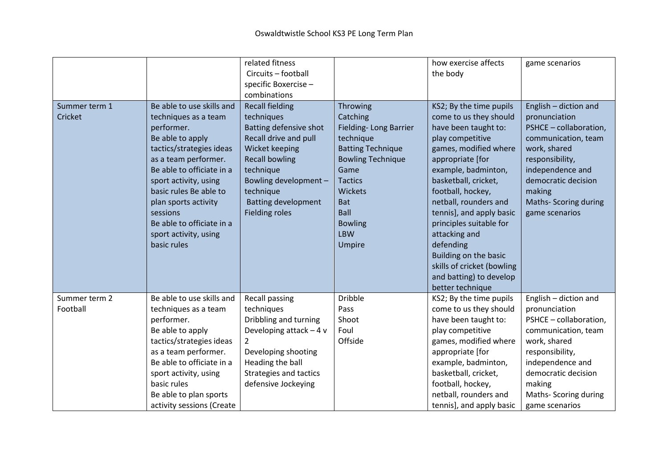|               |                           | related fitness               |                          | how exercise affects       | game scenarios         |
|---------------|---------------------------|-------------------------------|--------------------------|----------------------------|------------------------|
|               |                           | Circuits - football           |                          | the body                   |                        |
|               |                           | specific Boxercise-           |                          |                            |                        |
|               |                           | combinations                  |                          |                            |                        |
| Summer term 1 | Be able to use skills and | <b>Recall fielding</b>        | Throwing                 | KS2; By the time pupils    | English - diction and  |
| Cricket       | techniques as a team      | techniques                    | Catching                 | come to us they should     | pronunciation          |
|               | performer.                | Batting defensive shot        | Fielding-Long Barrier    | have been taught to:       | PSHCE - collaboration, |
|               | Be able to apply          | Recall drive and pull         | technique                | play competitive           | communication, team    |
|               | tactics/strategies ideas  | Wicket keeping                | <b>Batting Technique</b> | games, modified where      | work, shared           |
|               | as a team performer.      | <b>Recall bowling</b>         | <b>Bowling Technique</b> | appropriate [for           | responsibility,        |
|               | Be able to officiate in a | technique                     | Game                     | example, badminton,        | independence and       |
|               | sport activity, using     | Bowling development -         | <b>Tactics</b>           | basketball, cricket,       | democratic decision    |
|               | basic rules Be able to    | technique                     | <b>Wickets</b>           | football, hockey,          | making                 |
|               | plan sports activity      | <b>Batting development</b>    | <b>Bat</b>               | netball, rounders and      | Maths- Scoring during  |
|               | sessions                  | <b>Fielding roles</b>         | <b>Ball</b>              | tennis], and apply basic   | game scenarios         |
|               | Be able to officiate in a |                               | <b>Bowling</b>           | principles suitable for    |                        |
|               | sport activity, using     |                               | <b>LBW</b>               | attacking and              |                        |
|               | basic rules               |                               | Umpire                   | defending                  |                        |
|               |                           |                               |                          | Building on the basic      |                        |
|               |                           |                               |                          | skills of cricket (bowling |                        |
|               |                           |                               |                          | and batting) to develop    |                        |
|               |                           |                               |                          | better technique           |                        |
| Summer term 2 | Be able to use skills and | Recall passing                | <b>Dribble</b>           | KS2; By the time pupils    | English - diction and  |
| Football      | techniques as a team      | techniques                    | Pass                     | come to us they should     | pronunciation          |
|               | performer.                | Dribbling and turning         | Shoot                    | have been taught to:       | PSHCE - collaboration, |
|               | Be able to apply          | Developing attack $-4v$       | Foul                     | play competitive           | communication, team    |
|               | tactics/strategies ideas  | $\overline{2}$                | Offside                  | games, modified where      | work, shared           |
|               | as a team performer.      | Developing shooting           |                          | appropriate [for           | responsibility,        |
|               | Be able to officiate in a | Heading the ball              |                          | example, badminton,        | independence and       |
|               | sport activity, using     | <b>Strategies and tactics</b> |                          | basketball, cricket,       | democratic decision    |
|               | basic rules               | defensive Jockeying           |                          | football, hockey,          | making                 |
|               | Be able to plan sports    |                               |                          | netball, rounders and      | Maths-Scoring during   |
|               | activity sessions (Create |                               |                          | tennis], and apply basic   | game scenarios         |